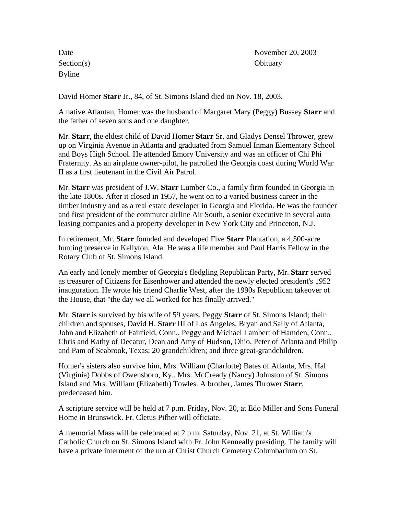Section(s) Obituary Byline

Date November 20, 2003

David Homer **Starr** Jr., 84, of St. Simons Island died on Nov. 18, 2003.

A native Atlantan, Homer was the husband of Margaret Mary (Peggy) Bussey **Starr** and the father of seven sons and one daughter.

Mr. **Starr**, the eldest child of David Homer **Starr** Sr. and Gladys Densel Thrower, grew up on Virginia Avenue in Atlanta and graduated from Samuel Inman Elementary School and Boys High School. He attended Emory University and was an officer of Chi Phi Fraternity. As an airplane owner-pilot, he patrolled the Georgia coast during World War II as a first lieutenant in the Civil Air Patrol.

Mr. **Starr** was president of J.W. **Starr** Lumber Co., a family firm founded in Georgia in the late 1800s. After it closed in 1957, he went on to a varied business career in the timber industry and as a real estate developer in Georgia and Florida. He was the founder and first president of the commuter airline Air South, a senior executive in several auto leasing companies and a property developer in New York City and Princeton, N.J.

In retirement, Mr. **Starr** founded and developed Five **Starr** Plantation, a 4,500-acre hunting preserve in Kellyton, Ala. He was a life member and Paul Harris Fellow in the Rotary Club of St. Simons Island.

An early and lonely member of Georgia's fledgling Republican Party, Mr. **Starr** served as treasurer of Citizens for Eisenhower and attended the newly elected president's 1952 inauguration. He wrote his friend Charlie West, after the 1990s Republican takeover of the House, that "the day we all worked for has finally arrived."

Mr. **Starr** is survived by his wife of 59 years, Peggy **Starr** of St. Simons Island; their children and spouses, David H. **Starr** III of Los Angeles, Bryan and Sally of Atlanta, John and Elizabeth of Fairfield, Conn., Peggy and Michael Lambert of Hamden, Conn., Chris and Kathy of Decatur, Dean and Amy of Hudson, Ohio, Peter of Atlanta and Philip and Pam of Seabrook, Texas; 20 grandchildren; and three great-grandchildren.

Homer's sisters also survive him, Mrs. William (Charlotte) Bates of Atlanta, Mrs. Hal (Virginia) Dobbs of Owensboro, Ky., Mrs. McCready (Nancy) Johnston of St. Simons Island and Mrs. William (Elizabeth) Towles. A brother, James Thrower **Starr**, predeceased him.

A scripture service will be held at 7 p.m. Friday, Nov. 20, at Edo Miller and Sons Funeral Home in Brunswick. Fr. Cletus Pifher will officiate.

A memorial Mass will be celebrated at 2 p.m. Saturday, Nov. 21, at St. William's Catholic Church on St. Simons Island with Fr. John Kenneally presiding. The family will have a private interment of the urn at Christ Church Cemetery Columbarium on St.